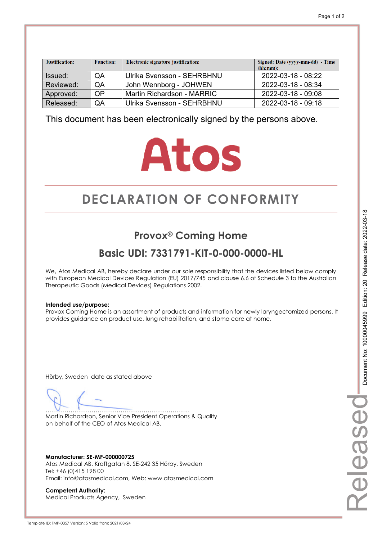| Justification: | <b>Function:</b> | Electronic signature justification: | Signed: Date (yyyy-mm-dd) - Time<br>(hh:mm): |
|----------------|------------------|-------------------------------------|----------------------------------------------|
| Issued:        | QA               | Ulrika Svensson - SEHRBHNU          | 2022-03-18 - 08:22                           |
| Reviewed:      | <b>OA</b>        | John Wennborg - JOHWEN              | 2022-03-18 - 08:34                           |
| Approved:      | OP               | Martin Richardson - MARRIC          | 2022-03-18 - 09:08                           |
| Released:      | QA               | Ulrika Svensson - SEHRBHNU          | 2022-03-18 - 09:18                           |

# **Atos**

# **DECLARATION OF CONFORMITY CONFORMITY**

## **Provox® Coming Home**

## **Basic UDI: 7331791-KIT-0-000-0000-HL**

We, Atos Medical AB, hereby declare under our sole responsibility that the devices listed below comply with European Medical Devices Regulation (EU) 2017/745 and clause 6.6 of Schedule 3 to the Australian Therapeutic Goods (Medical Devices) Regulations 2002.

### **Intended use/purpose:**

Provox Coming Home is an assortment of products and information for newly laryngectomized persons. It provides guidance on product use, lung rehabilitation, and stoma care at home.

Hörby, Sweden date as stated above

………………………………………………………………… Martin Richardson, Senior Vice President Operations & Quality on behalf of the CEO of Atos Medical AB.

**Manufacturer: SE-MF-000000725**  Atos Medical AB, Kraftgatan 8, SE-242 35 Hörby, Sweden Tel: +46 (0)415 198 00 Email: info@atosmedical.com, Web: www.atosmedical.com

**Competent Authority:**  Medical Products Agency, Sweden Released

elease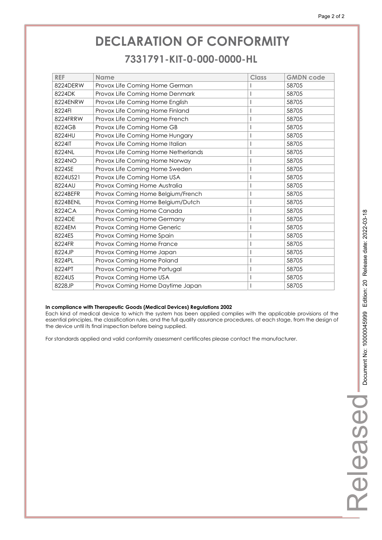### **7331791-KIT-0-000-0000-HL 7331791-KIT-0-000-0000-HL**

| <b>REF</b> | <b>Name</b>                         | <b>Class</b> | <b>GMDN</b> code |
|------------|-------------------------------------|--------------|------------------|
| 8224DERW   | Provox Life Coming Home German      |              | 58705            |
| 8224DK     | Provox Life Coming Home Denmark     |              | 58705            |
| 8224ENRW   | Provox Life Coming Home English     |              | 58705            |
| 8224FI     | Provox Life Coming Home Finland     |              | 58705            |
| 8224FRRW   | Provox Life Coming Home French      |              | 58705            |
| 8224GB     | Provox Life Coming Home GB          |              | 58705            |
| 8224HU     | Provox Life Coming Home Hungary     |              | 58705            |
| 8224IT     | Provox Life Coming Home Italian     |              | 58705            |
| 8224NL     | Provox Life Coming Home Netherlands |              | 58705            |
| 8224NO     | Provox Life Coming Home Norway      |              | 58705            |
| 8224SE     | Provox Life Coming Home Sweden      |              | 58705            |
| 8224US21   | Provox Life Coming Home USA         |              | 58705            |
| 8224AU     | Provox Coming Home Australia        |              | 58705            |
| 8224BEFR   | Provox Coming Home Belgium/French   |              | 58705            |
| 8224BENL   | Provox Coming Home Belgium/Dutch    |              | 58705            |
| 8224CA     | Provox Coming Home Canada           |              | 58705            |
| 8224DE     | Provox Coming Home Germany          |              | 58705            |
| 8224EM     | Provox Coming Home Generic          |              | 58705            |
| 8224ES     | Provox Coming Home Spain            |              | 58705            |
| 8224FR     | Provox Coming Home France           |              | 58705            |
| 8224JP     | Provox Coming Home Japan            |              | 58705            |
| 8224PL     | Provox Coming Home Poland           |              | 58705            |
| 8224PT     | Provox Coming Home Portugal         |              | 58705            |
| 8224US     | Provox Coming Home USA              |              | 58705            |
| 8228JP     | Provox Coming Home Daytime Japan    |              | 58705            |

### **In compliance with Therapeutic Goods (Medical Devices) Regulations 2002**

Each kind of medical device to which the system has been applied complies with the applicable provisions of the essential principles, the classification rules, and the full quality assurance procedures, at each stage, from the design of the device until its final inspection before being supplied.

For standards applied and valid conformity assessment certificates please contact the manufacturer.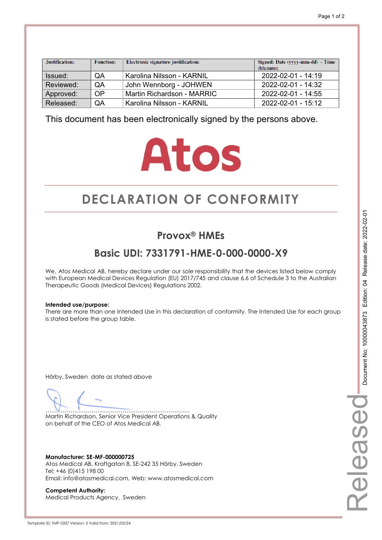| Justification: | <b>Function:</b> | Electronic signature justification: | Signed: Date (yyyy-mm-dd) - Time<br>(hh:mm): |
|----------------|------------------|-------------------------------------|----------------------------------------------|
| Issued:        | QA               | <b>Karolina Nilsson - KARNIL</b>    | 2022-02-01 - 14:19                           |
| Reviewed:      | QA               | John Wennborg - JOHWEN              | $2022 - 02 - 01 - 14:32$                     |
| Approved:      | OP               | Martin Richardson - MARRIC          | 2022-02-01 - 14:55                           |
| Released:      | QA               | Karolina Nilsson - KARNIL           | $2022 - 02 - 01 - 15:12$                     |

# **Atos**

# **DECLARATION OF CONFORMITY CONFORMITY**

## **Provox® HMEs**

## **Basic UDI: 7331791-HME-0-000-0000-X9**

We, Atos Medical AB, hereby declare under our sole responsibility that the devices listed below comply with European Medical Devices Regulation (EU) 2017/745 and clause 6.6 of Schedule 3 to the Australian Therapeutic Goods (Medical Devices) Regulations 2002.

### **Intended use/purpose:**

There are more than one Intended Use in this declaration of conformity. The Intended Use for each group is stated before the group table.

Hörby, Sweden date as stated above

………………………………………………………………… Martin Richardson, Senior Vice President Operations & Quality on behalf of the CEO of Atos Medical AB.

**Manufacturer: SE-MF-000000725**  Atos Medical AB, Kraftgatan 8, SE-242 35 Hörby, Sweden Tel: +46 (0)415 198 00 Email: info@atosmedical.com, Web: www.atosmedical.com

**Competent Authority:**  Medical Products Agency, Sweden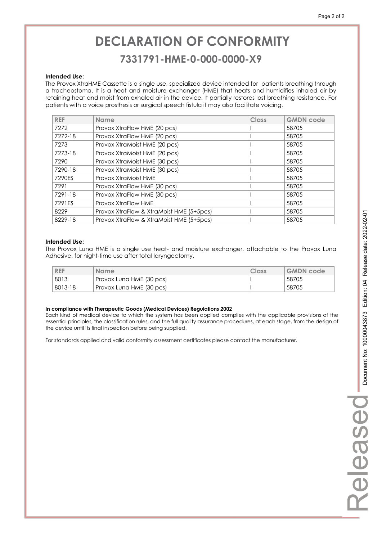### **7331791-HME-0-000-0000-X9 7331791-HME-0-000-0000-X9**

#### **Intended Use:**

The Provox XtraHME Cassette is a single use, specialized device intended for patients breathing through a tracheostoma. It is a heat and moisture exchanger (HME) that heats and humidifies inhaled air by retaining heat and moist from exhaled air in the device. It partially restores lost breathing resistance. For patients with a voice prosthesis or surgical speech fistula it may also facilitate voicing.

| <b>REF</b> | <b>Name</b>                              | Class | <b>GMDN</b> code |
|------------|------------------------------------------|-------|------------------|
| 7272       | Provox XtraFlow HME (20 pcs)             |       | 58705            |
| 7272-18    | Provox XtraFlow HME (20 pcs)             |       | 58705            |
| 7273       | Provox XtraMoist HME (20 pcs)            |       | 58705            |
| 7273-18    | Provox XtraMoist HME (20 pcs)            |       | 58705            |
| 7290       | Provox XtraMoist HME (30 pcs)            |       | 58705            |
| 7290-18    | Provox XtraMoist HME (30 pcs)            |       | 58705            |
| 7290ES     | Provox XtraMoist HME                     |       | 58705            |
| 7291       | Provox XtraFlow HME (30 pcs)             |       | 58705            |
| 7291-18    | Provox XtraFlow HME (30 pcs)             |       | 58705            |
| 7291ES     | Provox XtraFlow HME                      |       | 58705            |
| 8229       | Provox XtraFlow & XtraMoist HME (5+5pcs) |       | 58705            |
| 8229-18    | Provox XtraFlow & XtraMoist HME (5+5pcs) |       | 58705            |

### **Intended Use:**

The Provox Luna HME is a single use heat- and moisture exchanger, attachable to the Provox Luna Adhesive, for night-time use after total laryngectomy.

| <b>REF</b> | <b>Name</b>              | Class | <b>GMDN</b> code |
|------------|--------------------------|-------|------------------|
| 8013       | Provox Luna HME (30 pcs) |       | 58705            |
| 8013-18    | Provox Luna HME (30 pcs) |       | 58705            |

#### **In compliance with Therapeutic Goods (Medical Devices) Regulations 2002**

Each kind of medical device to which the system has been applied complies with the applicable provisions of the essential principles, the classification rules, and the full quality assurance procedures, at each stage, from the design of the device until its final inspection before being supplied.

For standards applied and valid conformity assessment certificates please contact the manufacturer.

Released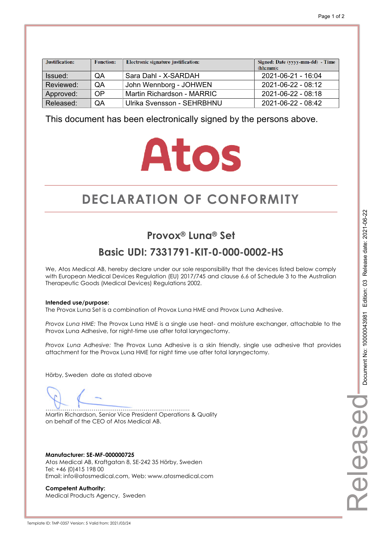| Justification: | <b>Function:</b> | Electronic signature justification: | Signed: Date (yyyy-mm-dd) - Time<br>(hh:mm): |
|----------------|------------------|-------------------------------------|----------------------------------------------|
| Issued:        | QA               | Sara Dahl - X-SARDAH                | 2021-06-21 - 16:04                           |
| Reviewed:      | QA               | John Wennborg - JOHWEN              | 2021-06-22 - 08:12                           |
| Approved:      | OP               | Martin Richardson - MARRIC          | 2021-06-22 - 08:18                           |
| Released:      | QA               | Ulrika Svensson - SEHRBHNU          | 2021-06-22 - 08:42                           |

# **Atos**

# **DECLARATION OF CONFORMITY CONFORMITY**

## **Provox® Luna® Set**

## **Basic UDI: 7331791-KIT-0-000-0002-HS**

We, Atos Medical AB, hereby declare under our sole responsibility that the devices listed below comply with European Medical Devices Regulation (EU) 2017/745 and clause 6.6 of Schedule 3 to the Australian Therapeutic Goods (Medical Devices) Regulations 2002.

### **Intended use/purpose:**

The Provox Luna Set is a combination of Provox Luna HME and Provox Luna Adhesive.

*Provox Luna HME:* The Provox Luna HME is a single use heat- and moisture exchanger, attachable to the Provox Luna Adhesive, for night-time use after total laryngectomy.

*Provox Luna Adhesive:* The Provox Luna Adhesive is a skin friendly, single use adhesive that provides attachment for the Provox Luna HME for night time use after total laryngectomy.

Hörby, Sweden date as stated above

………………………………………………………………… Martin Richardson, Senior Vice President Operations & Quality on behalf of the CEO of Atos Medical AB.

**Manufacturer: SE-MF-000000725**  Atos Medical AB, Kraftgatan 8, SE-242 35 Hörby, Sweden Tel: +46 (0)415 198 00 Email: info@atosmedical.com, Web: www.atosmedical.com

**Competent Authority:**  Medical Products Agency, Sweden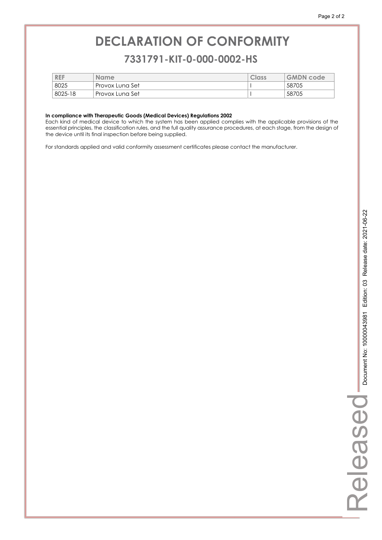### **7331791-KIT-0-000-0002-HS 7331791-KIT-0-000-0002-HS**

| <b>REF</b> | <b>Name</b>     | Class | <b>GMDN</b> code |
|------------|-----------------|-------|------------------|
| 8025       | Provox Luna Set |       | 58705            |
| 8025-18    | Provox Luna Set |       | 58705            |

#### **In compliance with Therapeutic Goods (Medical Devices) Regulations 2002**

Each kind of medical device to which the system has been applied complies with the applicable provisions of the essential principles, the classification rules, and the full quality assurance procedures, at each stage, from the design of the device until its final inspection before being supplied.

For standards applied and valid conformity assessment certificates please contact the manufacturer.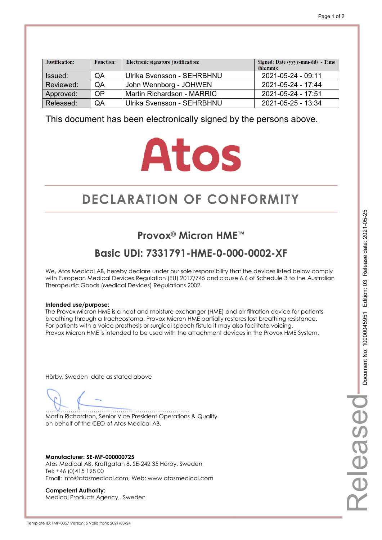| Justification: | <b>Function:</b> | Electronic signature justification: | Signed: Date (yyyy-mm-dd) - Time<br>(hh:mm): |
|----------------|------------------|-------------------------------------|----------------------------------------------|
| Issued:        | QA               | Ulrika Svensson - SEHRBHNU          | 2021-05-24 - 09:11                           |
| Reviewed:      | QA               | John Wennborg - JOHWEN              | $2021 - 05 - 24 - 17.44$                     |
| Approved:      | <b>OP</b>        | Martin Richardson - MARRIC          | $2021 - 05 - 24 - 17.51$                     |
| Released:      | QA               | Ulrika Svensson - SEHRBHNU          | $2021 - 05 - 25 - 13.34$                     |

# **Atos**

# **DECLARATION OF CONFORMITY CONFORMITY**

## **Provox® Micron HME™**

## **Basic UDI: 7331791-HME-0-000-0002-XF**

We, Atos Medical AB, hereby declare under our sole responsibility that the devices listed below comply with European Medical Devices Regulation (EU) 2017/745 and clause 6.6 of Schedule 3 to the Australian Therapeutic Goods (Medical Devices) Regulations 2002.

### **Intended use/purpose:**

The Provox Micron HME is a heat and moisture exchanger (HME) and air filtration device for patients breathing through a tracheostoma. Provox Micron HME partially restores lost breathing resistance. For patients with a voice prosthesis or surgical speech fistula it may also facilitate voicing. Provox Micron HME is intended to be used with the attachment devices in the Provox HME System.

Hörby, Sweden date as stated above

………………………………………………………………… Martin Richardson, Senior Vice President Operations & Quality on behalf of the CEO of Atos Medical AB.

**Manufacturer: SE-MF-000000725**  Atos Medical AB, Kraftgatan 8, SE-242 35 Hörby, Sweden Tel: +46 (0)415 198 00 Email: info@atosmedical.com, Web: www.atosmedical.com

**Competent Authority:**  Medical Products Agency, Sweden Released

elease